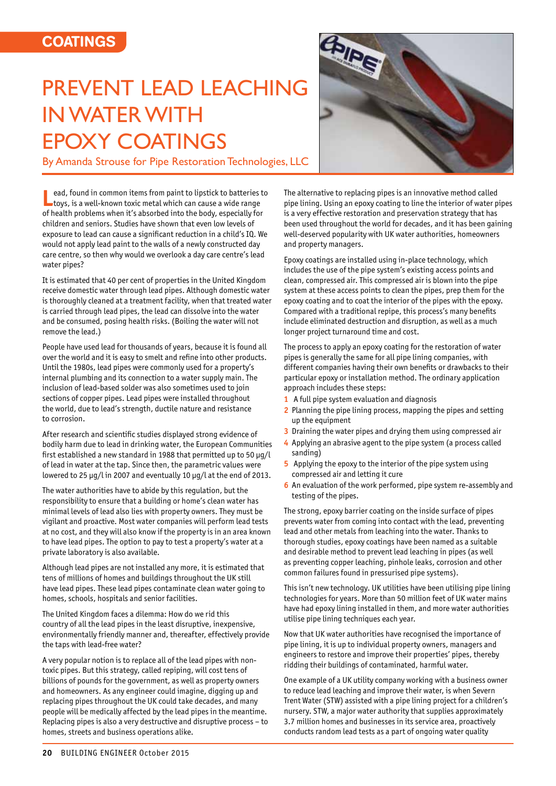## **COATINGS**

## PREVENT LEAD LEACHING IN WATER WITH EPOXY COATINGS

By Amanda Strouse for Pipe Restoration Technologies, LLC



**Lead, found in common items from paint to lipstick to batteries to toys, is a well-known toxic metal which can cause a wide range** of health problems when it's absorbed into the body, especially for children and seniors. Studies have shown that even low levels of exposure to lead can cause a significant reduction in a child's IQ. We would not apply lead paint to the walls of a newly constructed day care centre, so then why would we overlook a day care centre's lead water pipes?

It is estimated that 40 per cent of properties in the United Kingdom receive domestic water through lead pipes. Although domestic water is thoroughly cleaned at a treatment facility, when that treated water is carried through lead pipes, the lead can dissolve into the water and be consumed, posing health risks. (Boiling the water will not remove the lead.)

People have used lead for thousands of years, because it is found all over the world and it is easy to smelt and refine into other products. Until the 1980s, lead pipes were commonly used for a property's internal plumbing and its connection to a water supply main. The inclusion of lead-based solder was also sometimes used to join sections of copper pipes. Lead pipes were installed throughout the world, due to lead's strength, ductile nature and resistance to corrosion.

After research and scientific studies displayed strong evidence of bodily harm due to lead in drinking water, the European Communities first established a new standard in 1988 that permitted up to 50 μg/l of lead in water at the tap. Since then, the parametric values were lowered to 25 μg/l in 2007 and eventually 10 μg/l at the end of 2013.

The water authorities have to abide by this regulation, but the responsibility to ensure that a building or home's clean water has minimal levels of lead also lies with property owners. They must be vigilant and proactive. Most water companies will perform lead tests at no cost, and they will also know if the property is in an area known to have lead pipes. The option to pay to test a property's water at a private laboratory is also available.

Although lead pipes are not installed any more, it is estimated that tens of millions of homes and buildings throughout the UK still have lead pipes. These lead pipes contaminate clean water going to homes, schools, hospitals and senior facilities.

The United Kingdom faces a dilemma: How do we rid this country of all the lead pipes in the least disruptive, inexpensive, environmentally friendly manner and, thereafter, effectively provide the taps with lead-free water?

A very popular notion is to replace all of the lead pipes with nontoxic pipes. But this strategy, called repiping, will cost tens of billions of pounds for the government, as well as property owners and homeowners. As any engineer could imagine, digging up and replacing pipes throughout the UK could take decades, and many people will be medically affected by the lead pipes in the meantime. Replacing pipes is also a very destructive and disruptive process – to homes, streets and business operations alike.

The alternative to replacing pipes is an innovative method called pipe lining. Using an epoxy coating to line the interior of water pipes is a very effective restoration and preservation strategy that has been used throughout the world for decades, and it has been gaining well-deserved popularity with UK water authorities, homeowners and property managers.

Epoxy coatings are installed using in-place technology, which includes the use of the pipe system's existing access points and clean, compressed air. This compressed air is blown into the pipe system at these access points to clean the pipes, prep them for the epoxy coating and to coat the interior of the pipes with the epoxy. Compared with a traditional repipe, this process's many benefits include eliminated destruction and disruption, as well as a much longer project turnaround time and cost.

The process to apply an epoxy coating for the restoration of water pipes is generally the same for all pipe lining companies, with different companies having their own benefits or drawbacks to their particular epoxy or installation method. The ordinary application approach includes these steps:

- **1** A full pipe system evaluation and diagnosis
- **2** Planning the pipe lining process, mapping the pipes and setting up the equipment
- **3** Draining the water pipes and drying them using compressed air
- **4** Applying an abrasive agent to the pipe system (a process called sanding)
- **5** Applying the epoxy to the interior of the pipe system using compressed air and letting it cure
- **6** An evaluation of the work performed, pipe system re-assembly and testing of the pipes.

The strong, epoxy barrier coating on the inside surface of pipes prevents water from coming into contact with the lead, preventing lead and other metals from leaching into the water. Thanks to thorough studies, epoxy coatings have been named as a suitable and desirable method to prevent lead leaching in pipes (as well as preventing copper leaching, pinhole leaks, corrosion and other common failures found in pressurised pipe systems).

This isn't new technology. UK utilities have been utilising pipe lining technologies for years. More than 50 million feet of UK water mains have had epoxy lining installed in them, and more water authorities utilise pipe lining techniques each year.

Now that UK water authorities have recognised the importance of pipe lining, it is up to individual property owners, managers and engineers to restore and improve their properties' pipes, thereby ridding their buildings of contaminated, harmful water.

One example of a UK utility company working with a business owner to reduce lead leaching and improve their water, is when Severn Trent Water (STW) assisted with a pipe lining project for a children's nursery. STW, a major water authority that supplies approximately 3.7 million homes and businesses in its service area, proactively conducts random lead tests as a part of ongoing water quality